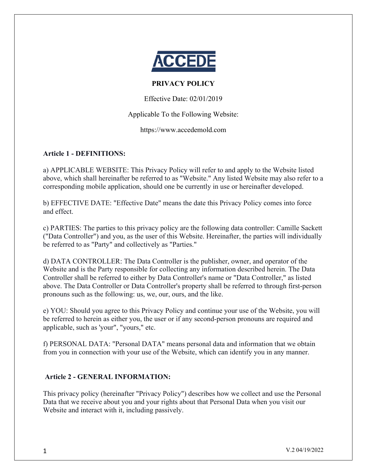

# **PRIVACY POLICY**

Effective Date: 02/01/2019

Applicable To the Following Website:

https://www.accedemold.com

# **Article 1 - DEFINITIONS:**

a) APPLICABLE WEBSITE: This Privacy Policy will refer to and apply to the Website listed above, which shall hereinafter be referred to as "Website." Any listed Website may also refer to a corresponding mobile application, should one be currently in use or hereinafter developed.

b) EFFECTIVE DATE: "Effective Date" means the date this Privacy Policy comes into force and effect.

c) PARTIES: The parties to this privacy policy are the following data controller: Camille Sackett ("Data Controller") and you, as the user of this Website. Hereinafter, the parties will individually be referred to as "Party" and collectively as "Parties."

d) DATA CONTROLLER: The Data Controller is the publisher, owner, and operator of the Website and is the Party responsible for collecting any information described herein. The Data Controller shall be referred to either by Data Controller's name or "Data Controller," as listed above. The Data Controller or Data Controller's property shall be referred to through first-person pronouns such as the following: us, we, our, ours, and the like.

e) YOU: Should you agree to this Privacy Policy and continue your use of the Website, you will be referred to herein as either you, the user or if any second-person pronouns are required and applicable, such as 'your", "yours," etc.

f) PERSONAL DATA: "Personal DATA" means personal data and information that we obtain from you in connection with your use of the Website, which can identify you in any manner.

# **Article 2 - GENERAL INFORMATION:**

This privacy policy (hereinafter "Privacy Policy") describes how we collect and use the Personal Data that we receive about you and your rights about that Personal Data when you visit our Website and interact with it, including passively.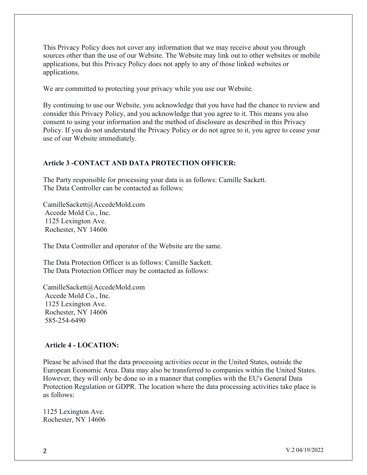This Privacy Policy does not cover any information that we may receive about you through sources other than the use of our Website. The Website may link out to other websites or mobile applications, but this Privacy Policy does not apply to any of those linked websites or applications.

We are committed to protecting your privacy while you use our Website.

By continuing to use our Website, you acknowledge that you have had the chance to review and consider this Privacy Policy, and you acknowledge that you agree to it. This means you also consent to using your information and the method of disclosure as described in this Privacy Policy. If you do not understand the Privacy Policy or do not agree to it, you agree to cease your use of our Website immediately.

#### **Article 3 -CONTACT AND DATA PROTECTION OFFICER:**

The Party responsible for processing your data is as follows: Camille Sackett. The Data Controller can be contacted as follows:

CamilleSackett@AccedeMold.com Accede Mold Co., Inc. 1125 Lexington Ave. Rochester, NY 14606

The Data Controller and operator of the Website are the same.

The Data Protection Officer is as follows: Camille Sackett. The Data Protection Officer may be contacted as follows:

CamilleSackett@AccedeMold.com Accede Mold Co., Inc. 1125 Lexington Ave. Rochester, NY 14606 585-254-6490

#### **Article 4 - LOCATION:**

Please be advised that the data processing activities occur in the United States, outside the European Economic Area. Data may also be transferred to companies within the United States. However, they will only be done so in a manner that complies with the EU's General Data Protection Regulation or GDPR. The location where the data processing activities take place is as follows:

1125 Lexington Ave. Rochester, NY 14606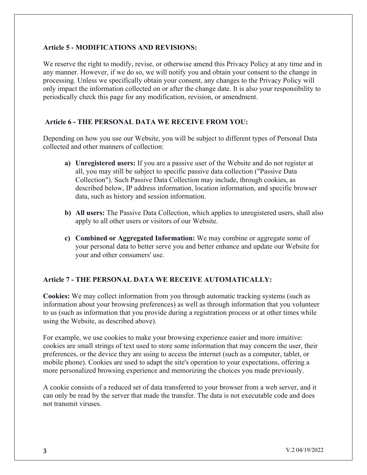#### **Article 5 - MODIFICATIONS AND REVISIONS:**

We reserve the right to modify, revise, or otherwise amend this Privacy Policy at any time and in any manner. However, if we do so, we will notify you and obtain your consent to the change in processing. Unless we specifically obtain your consent, any changes to the Privacy Policy will only impact the information collected on or after the change date. It is also your responsibility to periodically check this page for any modification, revision, or amendment.

#### **Article 6 - THE PERSONAL DATA WE RECEIVE FROM YOU:**

Depending on how you use our Website, you will be subject to different types of Personal Data collected and other manners of collection:

- **a) Unregistered users:** If you are a passive user of the Website and do not register at all, you may still be subject to specific passive data collection ("Passive Data Collection"). Such Passive Data Collection may include, through cookies, as described below, IP address information, location information, and specific browser data, such as history and session information.
- **b) All users:** The Passive Data Collection, which applies to unregistered users, shall also apply to all other users or visitors of our Website.
- **c) Combined or Aggregated Information:** We may combine or aggregate some of your personal data to better serve you and better enhance and update our Website for your and other consumers' use.

## **Article 7 - THE PERSONAL DATA WE RECEIVE AUTOMATICALLY:**

**Cookies:** We may collect information from you through automatic tracking systems (such as information about your browsing preferences) as well as through information that you volunteer to us (such as information that you provide during a registration process or at other times while using the Website, as described above).

For example, we use cookies to make your browsing experience easier and more intuitive: cookies are small strings of text used to store some information that may concern the user, their preferences, or the device they are using to access the internet (such as a computer, tablet, or mobile phone). Cookies are used to adapt the site's operation to your expectations, offering a more personalized browsing experience and memorizing the choices you made previously.

A cookie consists of a reduced set of data transferred to your browser from a web server, and it can only be read by the server that made the transfer. The data is not executable code and does not transmit viruses.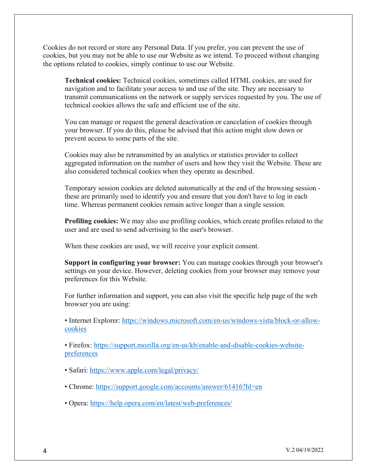Cookies do not record or store any Personal Data. If you prefer, you can prevent the use of cookies, but you may not be able to use our Website as we intend. To proceed without changing the options related to cookies, simply continue to use our Website.

**Technical cookies:** Technical cookies, sometimes called HTML cookies, are used for navigation and to facilitate your access to and use of the site. They are necessary to transmit communications on the network or supply services requested by you. The use of technical cookies allows the safe and efficient use of the site.

You can manage or request the general deactivation or cancelation of cookies through your browser. If you do this, please be advised that this action might slow down or prevent access to some parts of the site.

Cookies may also be retransmitted by an analytics or statistics provider to collect aggregated information on the number of users and how they visit the Website. These are also considered technical cookies when they operate as described.

Temporary session cookies are deleted automatically at the end of the browsing session these are primarily used to identify you and ensure that you don't have to log in each time. Whereas permanent cookies remain active longer than a single session.

**Profiling cookies:** We may also use profiling cookies, which create profiles related to the user and are used to send advertising to the user's browser.

When these cookies are used, we will receive your explicit consent.

**Support in configuring your browser:** You can manage cookies through your browser's settings on your device. However, deleting cookies from your browser may remove your preferences for this Website.

For further information and support, you can also visit the specific help page of the web browser you are using:

• Internet Explorer: https://windows.microsoft.com/en-us/windows-vista/block-or-allowcookies

• Firefox: https://support.mozilla.org/en-us/kb/enable-and-disable-cookies-websitepreferences

- Safari: https://www.apple.com/legal/privacy/
- Chrome: https://support.google.com/accounts/answer/61416?hl=en
- Opera: https://help.opera.com/en/latest/web-preferences/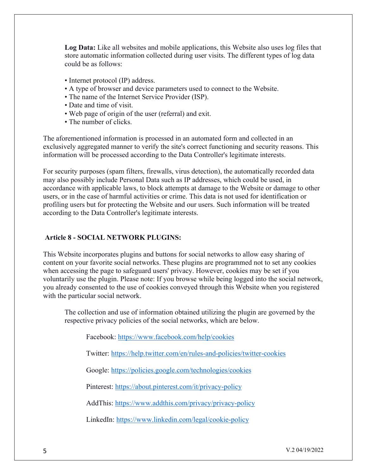**Log Data:** Like all websites and mobile applications, this Website also uses log files that store automatic information collected during user visits. The different types of log data could be as follows:

- Internet protocol (IP) address.
- A type of browser and device parameters used to connect to the Website.
- The name of the Internet Service Provider (ISP).
- Date and time of visit.
- Web page of origin of the user (referral) and exit.
- The number of clicks.

The aforementioned information is processed in an automated form and collected in an exclusively aggregated manner to verify the site's correct functioning and security reasons. This information will be processed according to the Data Controller's legitimate interests.

For security purposes (spam filters, firewalls, virus detection), the automatically recorded data may also possibly include Personal Data such as IP addresses, which could be used, in accordance with applicable laws, to block attempts at damage to the Website or damage to other users, or in the case of harmful activities or crime. This data is not used for identification or profiling users but for protecting the Website and our users. Such information will be treated according to the Data Controller's legitimate interests.

#### **Article 8 - SOCIAL NETWORK PLUGINS:**

This Website incorporates plugins and buttons for social networks to allow easy sharing of content on your favorite social networks. These plugins are programmed not to set any cookies when accessing the page to safeguard users' privacy. However, cookies may be set if you voluntarily use the plugin. Please note: If you browse while being logged into the social network, you already consented to the use of cookies conveyed through this Website when you registered with the particular social network.

The collection and use of information obtained utilizing the plugin are governed by the respective privacy policies of the social networks, which are below.

Facebook: https://www.facebook.com/help/cookies

Twitter: https://help.twitter.com/en/rules-and-policies/twitter-cookies

Google: https://policies.google.com/technologies/cookies

Pinterest: https://about.pinterest.com/it/privacy-policy

AddThis: https://www.addthis.com/privacy/privacy-policy

LinkedIn: https://www.linkedin.com/legal/cookie-policy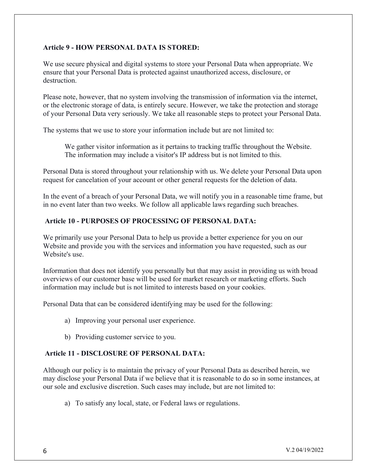# **Article 9 - HOW PERSONAL DATA IS STORED:**

We use secure physical and digital systems to store your Personal Data when appropriate. We ensure that your Personal Data is protected against unauthorized access, disclosure, or destruction.

Please note, however, that no system involving the transmission of information via the internet, or the electronic storage of data, is entirely secure. However, we take the protection and storage of your Personal Data very seriously. We take all reasonable steps to protect your Personal Data.

The systems that we use to store your information include but are not limited to:

We gather visitor information as it pertains to tracking traffic throughout the Website. The information may include a visitor's IP address but is not limited to this.

Personal Data is stored throughout your relationship with us. We delete your Personal Data upon request for cancelation of your account or other general requests for the deletion of data.

In the event of a breach of your Personal Data, we will notify you in a reasonable time frame, but in no event later than two weeks. We follow all applicable laws regarding such breaches.

## **Article 10 - PURPOSES OF PROCESSING OF PERSONAL DATA:**

We primarily use your Personal Data to help us provide a better experience for you on our Website and provide you with the services and information you have requested, such as our Website's use.

Information that does not identify you personally but that may assist in providing us with broad overviews of our customer base will be used for market research or marketing efforts. Such information may include but is not limited to interests based on your cookies.

Personal Data that can be considered identifying may be used for the following:

- a) Improving your personal user experience.
- b) Providing customer service to you.

## **Article 11 - DISCLOSURE OF PERSONAL DATA:**

Although our policy is to maintain the privacy of your Personal Data as described herein, we may disclose your Personal Data if we believe that it is reasonable to do so in some instances, at our sole and exclusive discretion. Such cases may include, but are not limited to:

a) To satisfy any local, state, or Federal laws or regulations.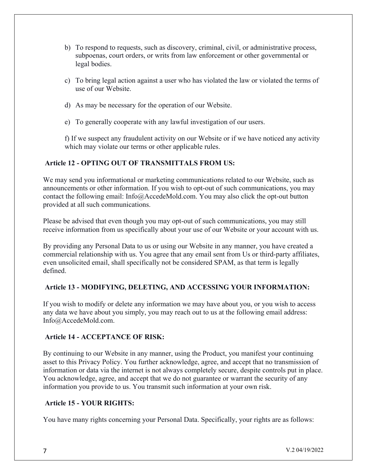- b) To respond to requests, such as discovery, criminal, civil, or administrative process, subpoenas, court orders, or writs from law enforcement or other governmental or legal bodies.
- c) To bring legal action against a user who has violated the law or violated the terms of use of our Website.
- d) As may be necessary for the operation of our Website.
- e) To generally cooperate with any lawful investigation of our users.

f) If we suspect any fraudulent activity on our Website or if we have noticed any activity which may violate our terms or other applicable rules.

# **Article 12 - OPTING OUT OF TRANSMITTALS FROM US:**

We may send you informational or marketing communications related to our Website, such as announcements or other information. If you wish to opt-out of such communications, you may contact the following email: Info@AccedeMold.com. You may also click the opt-out button provided at all such communications.

Please be advised that even though you may opt-out of such communications, you may still receive information from us specifically about your use of our Website or your account with us.

By providing any Personal Data to us or using our Website in any manner, you have created a commercial relationship with us. You agree that any email sent from Us or third-party affiliates, even unsolicited email, shall specifically not be considered SPAM, as that term is legally defined.

## **Article 13 - MODIFYING, DELETING, AND ACCESSING YOUR INFORMATION:**

If you wish to modify or delete any information we may have about you, or you wish to access any data we have about you simply, you may reach out to us at the following email address: Info@AccedeMold.com.

## **Article 14 - ACCEPTANCE OF RISK:**

By continuing to our Website in any manner, using the Product, you manifest your continuing asset to this Privacy Policy. You further acknowledge, agree, and accept that no transmission of information or data via the internet is not always completely secure, despite controls put in place. You acknowledge, agree, and accept that we do not guarantee or warrant the security of any information you provide to us. You transmit such information at your own risk.

#### **Article 15 - YOUR RIGHTS:**

You have many rights concerning your Personal Data. Specifically, your rights are as follows: